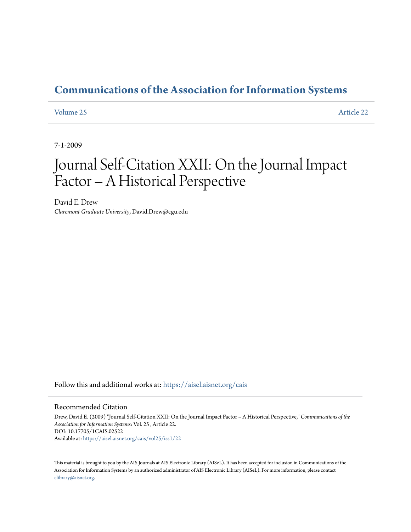### **[Communications of the Association for Information Systems](https://aisel.aisnet.org/cais?utm_source=aisel.aisnet.org%2Fcais%2Fvol25%2Fiss1%2F22&utm_medium=PDF&utm_campaign=PDFCoverPages)**

#### [Volume 25](https://aisel.aisnet.org/cais/vol25?utm_source=aisel.aisnet.org%2Fcais%2Fvol25%2Fiss1%2F22&utm_medium=PDF&utm_campaign=PDFCoverPages) [Article 22](https://aisel.aisnet.org/cais/vol25/iss1/22?utm_source=aisel.aisnet.org%2Fcais%2Fvol25%2Fiss1%2F22&utm_medium=PDF&utm_campaign=PDFCoverPages)

7-1-2009

## Journal Self-Citation XXII: On the Journal Impact Factor – A Historical Perspective

David E. Drew *Claremont Graduate University*, David.Drew@cgu.edu

Follow this and additional works at: [https://aisel.aisnet.org/cais](https://aisel.aisnet.org/cais?utm_source=aisel.aisnet.org%2Fcais%2Fvol25%2Fiss1%2F22&utm_medium=PDF&utm_campaign=PDFCoverPages)

#### Recommended Citation

Drew, David E. (2009) "Journal Self-Citation XXII: On the Journal Impact Factor – A Historical Perspective," *Communications of the Association for Information Systems*: Vol. 25 , Article 22. DOI: 10.17705/1CAIS.02522 Available at: [https://aisel.aisnet.org/cais/vol25/iss1/22](https://aisel.aisnet.org/cais/vol25/iss1/22?utm_source=aisel.aisnet.org%2Fcais%2Fvol25%2Fiss1%2F22&utm_medium=PDF&utm_campaign=PDFCoverPages)

This material is brought to you by the AIS Journals at AIS Electronic Library (AISeL). It has been accepted for inclusion in Communications of the Association for Information Systems by an authorized administrator of AIS Electronic Library (AISeL). For more information, please contact [elibrary@aisnet.org.](mailto:elibrary@aisnet.org%3E)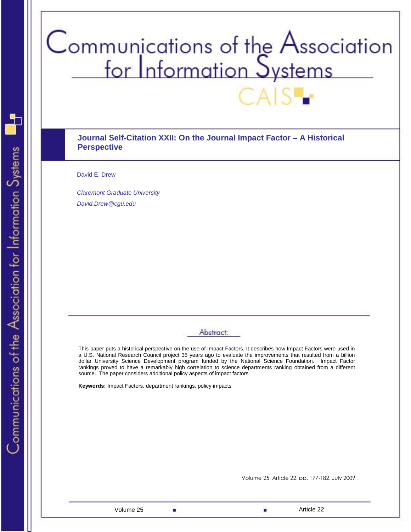# Communications of the Association<br>for Information Systems

#### **Journal Self-Citation XXII: On the Journal Impact Factor – A Historical Perspective**

David E. Drew

*Claremont Graduate University David.Drew@cgu.edu*

#### Abstract:

This paper puts a historical perspective on the use of Impact Factors. It describes how Impact Factors were used in a U.S. National Research Council project 35 years ago to evaluate the improvements that resulted from a billion dollar University Science Development program funded by the National Science Foundation. Impact Factor rankings proved to have a remarkably high correlation to science departments ranking obtained from a different source. The paper considers additional policy aspects of impact factors.

**Keywords:** Impact Factors, department rankings, policy impacts

Volume 25, Article 22, pp. 177-182, July 2009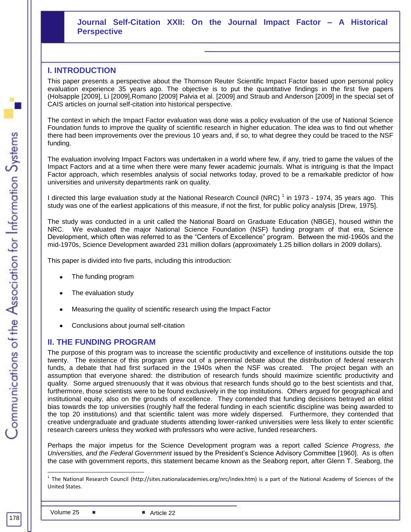#### **Journal Self-Citation XXII: On the Journal Impact Factor – A Historical Perspective**

#### **I. INTRODUCTION**

This paper presents a perspective about the Thomson Reuter Scientific Impact Factor based upon personal policy evaluation experience 35 years ago. The objective is to put the quantitative findings in the first five papers (Holsapple [2009], Li [2009],Romano [2009] Palvia et al. [2009] and Straub and Anderson [2009] in the special set of CAIS articles on journal self-citation into historical perspective.

The context in which the Impact Factor evaluation was done was a policy evaluation of the use of National Science Foundation funds to improve the quality of scientific research in higher education. The idea was to find out whether there had been improvements over the previous 10 years and, if so, to what degree they could be traced to the NSF funding.

The evaluation involving Impact Factors was undertaken in a world where few, if any, tried to game the values of the Impact Factors and at a time when there were many fewer academic journals. What is intriguing is that the Impact Factor approach, which resembles analysis of social networks today, proved to be a remarkable predictor of how universities and university departments rank on quality.

I directed this large evaluation study at the National Research Council (NRC)  $^1$  in 1973 - 1974, 35 years ago. This study was one of the earliest applications of this measure, if not the first, for public policy analysis [Drew, 1975].

The study was conducted in a unit called the National Board on Graduate Education (NBGE), housed within the NRC. We evaluated the major National Science Foundation (NSF) funding program of that era, Science Development, which often was referred to as the "Centers of Excellence" program. Between the mid-1960s and the mid-1970s, Science Development awarded 231 million dollars (approximately 1.25 billion dollars in 2009 dollars).

This paper is divided into five parts, including this introduction:

- The funding program
- The evaluation study
- Measuring the quality of scientific research using the Impact Factor
- Conclusions about journal self-citation

#### **II. THE FUNDING PROGRAM**

The purpose of this program was to increase the scientific productivity and excellence of institutions outside the top twenty. The existence of this program grew out of a perennial debate about the distribution of federal research funds, a debate that had first surfaced in the 1940s when the NSF was created. The project began with an assumption that everyone shared: the distribution of research funds should maximize scientific productivity and quality. Some argued strenuously that it was obvious that research funds should go to the best scientists and that, furthermore, those scientists were to be found exclusively in the top institutions. Others argued for geographical and institutional equity, also on the grounds of excellence. They contended that funding decisions betrayed an elitist bias towards the top universities (roughly half the federal funding in each scientific discipline was being awarded to the top 20 institutions) and that scientific talent was more widely dispersed. Furthermore, they contended that creative undergraduate and graduate students attending lower-ranked universities were less likely to enter scientific research careers unless they worked with professors who were active, funded researchers.

the case with government reports, this statement became known as the Seaborg report, after Glenn T. Seaborg, the <u>Perspective Construction (Pro</u> Perhaps the major impetus for the Science Development program was a report called *Science Progress, the Universities, and the Federal Government* issued by the President's Science Advisory Committee [1960]. As is often

l

<sup>1</sup> The National Research Council (http://sites.nationalacademies.org/nrc/index.htm) is a part of the National Academy of Sciences of the United States.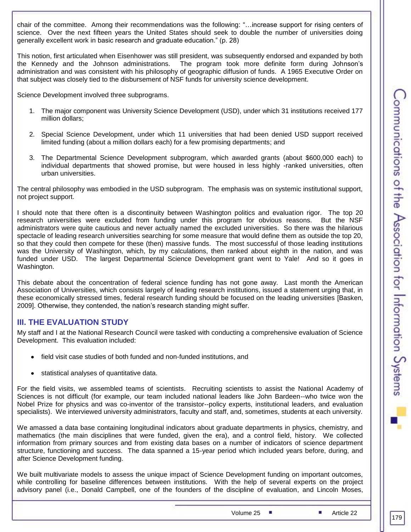chair of the committee. Among their recommendations was the following: "...increase support for rising centers of science. Over the next fifteen years the United States should seek to double the number of universities doing generally excellent work in basic research and graduate education." (p. 28)

This notion, first articulated when Eisenhower was still president, was subsequently endorsed and expanded by both the Kennedy and the Johnson administrations. The program took more definite form during Johnson's administration and was consistent with his philosophy of geographic diffusion of funds. A 1965 Executive Order on that subject was closely tied to the disbursement of NSF funds for university science development.

Science Development involved three subprograms.

- 1. The major component was University Science Development (USD), under which 31 institutions received 177 million dollars;
- 2. Special Science Development, under which 11 universities that had been denied USD support received limited funding (about a million dollars each) for a few promising departments; and
- 3. The Departmental Science Development subprogram, which awarded grants (about \$600,000 each) to individual departments that showed promise, but were housed in less highly -ranked universities, often urban universities.

The central philosophy was embodied in the USD subprogram. The emphasis was on systemic institutional support, not project support.

I should note that there often is a discontinuity between Washington politics and evaluation rigor. The top 20 research universities were excluded from funding under this program for obvious reasons. But the NSF administrators were quite cautious and never actually named the excluded universities. So there was the hilarious spectacle of leading research universities searching for some measure that would define them as outside the top 20, so that they could then compete for these (then) massive funds. The most successful of those leading institutions was the University of Washington, which, by my calculations, then ranked about eighth in the nation, and was funded under USD. The largest Departmental Science Development grant went to Yale! And so it goes in Washington.

This debate about the concentration of federal science funding has not gone away. Last month the American Association of Universities, which consists largely of leading research institutions, issued a statement urging that, in these economically stressed times, federal research funding should be focused on the leading universities [Basken, 2009]. Otherwise, they contended, the nation's research standing might suffer.

#### **III. THE EVALUATION STUDY**

My staff and I at the National Research Council were tasked with conducting a comprehensive evaluation of Science Development. This evaluation included:

- field visit case studies of both funded and non-funded institutions, and
- statistical analyses of quantitative data.

For the field visits, we assembled teams of scientists. Recruiting scientists to assist the National Academy of Sciences is not difficult (for example, our team included national leaders like John Bardeen--who twice won the Nobel Prize for physics and was co-inventor of the transistor--policy experts, institutional leaders, and evaluation specialists). We interviewed university administrators, faculty and staff, and, sometimes, students at each university.

We amassed a data base containing longitudinal indicators about graduate departments in physics, chemistry, and mathematics (the main disciplines that were funded, given the era), and a control field, history. We collected information from primary sources and from existing data bases on a number of indicators of science department structure, functioning and success. The data spanned a 15-year period which included years before, during, and after Science Development funding.

We built multivariate models to assess the unique impact of Science Development funding on important outcomes, while controlling for baseline differences between institutions. With the help of several experts on the project advisory panel (i.e., Donald Campbell, one of the founders of the discipline of evaluation, and Lincoln Moses,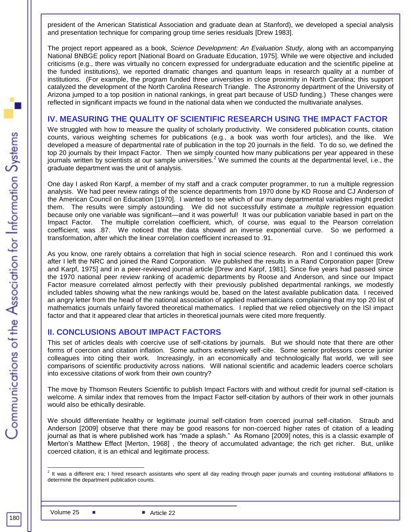president of the American Statistical Association and graduate dean at Stanford), we developed a special analysis and presentation technique for comparing group time series residuals [Drew 1983].

The project report appeared as a book, *Science Development: An Evaluation Study*, along with an accompanying National BNBGE policy report [National Board on Graduate Education, 1975]. While we were objective and included criticisms (e.g., there was virtually no concern expressed for undergraduate education and the scientific pipeline at the funded institutions), we reported dramatic changes and quantum leaps in research quality at a number of institutions. (For example, the program funded three universities in close proximity in North Carolina; this support catalyzed the development of the North Carolina Research Triangle. The Astronomy department of the University of Arizona jumped to a top position in national rankings, in great part because of USD funding.) These changes were reflected in significant impacts we found in the national data when we conducted the multivariate analyses.

#### **IV. MEASURING THE QUALITY OF SCIENTIFIC RESEARCH USING THE IMPACT FACTOR**

We struggled with how to measure the quality of scholarly productivity. We considered publication counts, citation counts, various weighting schemes for publications (e.g., a book was worth four articles), and the like. We developed a measure of departmental rate of publication in the top 20 journals in the field. To do so, we defined the top 20 journals by their Impact Factor. Then we simply counted how many publications per year appeared in these journals written by scientists at our sample universities.<sup>2</sup> We summed the counts at the departmental level, i.e., the graduate department was the unit of analysis.

One day I asked Ron Karpf, a member of my staff and a crack computer programmer, to run a multiple regression analysis. We had peer review ratings of the science departments from 1970 done by KD Roose and CJ Anderson of the American Council on Education [1970]. I wanted to see which of our many departmental variables might predict them. The results were simply astounding. We did not successfully estimate a *multiple* regression equation because only one variable was significant—and it was powerful! It was our publication variable based in part on the Impact Factor. The multiple correlation coefficient, which, of course, was equal to the Pearson correlation coefficient, was .87. We noticed that the data showed an inverse exponential curve. So we performed a transformation, after which the linear correlation coefficient increased to .91.

As you know, one rarely obtains a correlation that high in social science research. Ron and I continued this work after I left the NRC and joined the Rand Corporation. We published the results in a Rand Corporation paper [Drew and Karpf, 1975] and in a peer-reviewed journal article [Drew and Karpf, 1981]. Since five years had passed since the 1970 national peer review ranking of academic departments by Roose and Anderson, and since our Impact Factor measure correlated almost perfectly with their previously published departmental rankings, we modestly included tables showing what the new rankings would be, based on the latest available publication data. I received an angry letter from the head of the national association of applied mathematicians complaining that my top 20 list of mathematics journals unfairly favored theoretical mathematics. I replied that we relied objectively on the ISI impact factor and that it appeared clear that articles in theoretical journals were cited more frequently.

#### **II. CONCLUSIONS ABOUT IMPACT FACTORS**

This set of articles deals with coercive use of self-citations by journals. But we should note that there are other forms of coercion and citation inflation. Some authors extensively self-cite. Some senior professors coerce junior colleagues into citing their work. Increasingly, in an economically and technologically flat world, we will see comparisons of scientific productivity across nations. Will national scientific and academic leaders coerce scholars into excessive citations of work from their own country?

The move by Thomson Reuters Scientific to publish Impact Factors with and without credit for journal self-citation is welcome. A similar index that removes from the Impact Factor self-citation by authors of their work in other journals would also be ethically desirable.

We should differentiate healthy or legitimate journal self-citation from coerced journal self-citation. Straub and Anderson [2009] observe that there may be good reasons for non-coerced higher rates of citation of a leading journal as that is where published work has "made a splash." As Romano [2009] notes, this is a classic example of Merton's Matthew Effect [Merton, 1968] , the theory of accumulated advantage; the rich get richer. But, unlike coerced citation, it is an ethical and legitimate process.

 2 It was a different era; I hired research assistants who spent all day reading through paper journals and counting institutional affiliations to determine the department publication counts.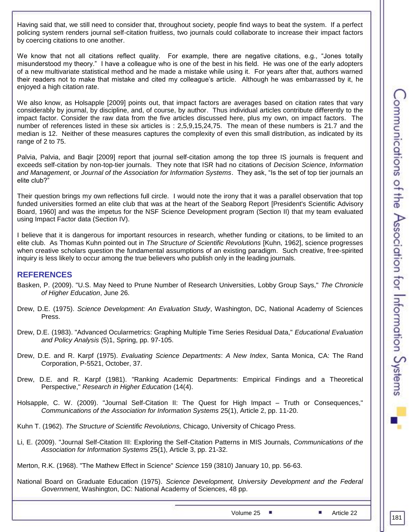Having said that, we still need to consider that, throughout society, people find ways to beat the system. If a perfect policing system renders journal self-citation fruitless, two journals could collaborate to increase their impact factors by coercing citations to one another.

We know that not all citations reflect quality. For example, there are negative citations, e.g., "Jones totally misunderstood my theory." I have a colleague who is one of the best in his field. He was one of the early adopters of a new multivariate statistical method and he made a mistake while using it. For years after that, authors warned their readers not to make that mistake and cited my colleague's article. Although he was embarrassed by it, he enjoyed a high citation rate.

We also know, as Holsapple [2009] points out, that impact factors are averages based on citation rates that vary considerably by journal, by discipline, and, of course, by author. Thus individual articles contribute differently to the impact factor. Consider the raw data from the five articles discussed here, plus my own, on impact factors. The number of references listed in these six articles is : 2,5,9,15,24,75. The mean of these numbers is 21.7 and the median is 12. Neither of these measures captures the complexity of even this small distribution, as indicated by its range of 2 to 75.

Palvia, Palvia, and Baqir [2009] report that journal self-citation among the top three IS journals is frequent and exceeds self-citation by non-top-tier journals. They note that ISR had no citations of *Decision Science*, *Information*  and Management, or *Journal of the Association for Information Systems*. They ask, "Is the set of top tier journals an elite club?"

Their question brings my own reflections full circle. I would note the irony that it was a parallel observation that top funded universities formed an elite club that was at the heart of the Seaborg Report [President's Scientific Advisory Board, 1960] and was the impetus for the NSF Science Development program (Section II) that my team evaluated using Impact Factor data (Section IV).

I believe that it is dangerous for important resources in research, whether funding or citations, to be limited to an elite club. As Thomas Kuhn pointed out in *The Structure of Scientific Revolutions* [Kuhn, 1962], science progresses when creative scholars question the fundamental assumptions of an existing paradigm. Such creative, free-spirited inquiry is less likely to occur among the true believers who publish only in the leading journals.

#### **REFERENCES**

- Basken, P. (2009). "U.S. May Need to Prune Number of Research Universities, Lobby Group Says," *The Chronicle of Higher Education*, June 26.
- Drew, D.E. (1975). *Science Development: An Evaluation Study*, Washington, DC, National Academy of Sciences Press.
- Drew, D.E. (1983). "Advanced Ocularmetrics: Graphing Multiple Time Series Residual Data," *Educational Evaluation and Policy Analysis* (5)1, Spring, pp. 97-105.
- Drew, D.E. and R. Karpf (1975). *Evaluating Science Departments*: *A New Index*, Santa Monica, CA: The Rand Corporation, P-5521, October, 37.
- Drew, D.E. and R. Karpf (1981). "Ranking Academic Departments: Empirical Findings and a Theoretical Perspective," *Research in Higher Education* (14(4).
- Holsapple, C. W. (2009). "Journal Self-Citation II: The Quest for High Impact Truth or Consequences," *Communications of the Association for Information Systems* 25(1), Article 2, pp. 11-20.
- Kuhn T. (1962). *The Structure of Scientific Revolutions,* Chicago, University of Chicago Press.
- Li, E. (2009). "Journal Self-Citation III: Exploring the Self-Citation Patterns in MIS Journals, *Communications of the Association for Information Systems* 25(1), Article 3, pp. 21-32.
- Merton, R.K. (1968). "The Mathew Effect in Science" *Science* 159 (3810) January 10, pp. 56-63.
- National Board on Graduate Education (1975). *Science Development, University Development and the Federal Government*, Washington, DC: National Academy of Sciences, 48 pp.

Volume 25 ■ Article 22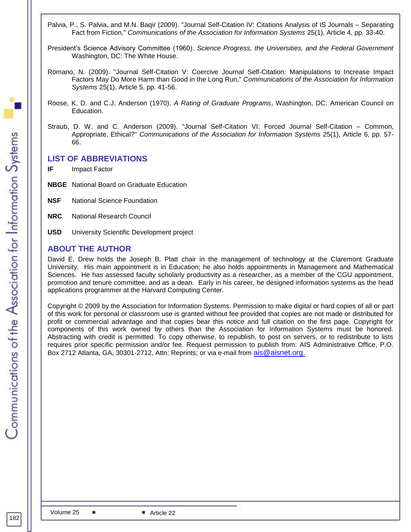- Palvia, P., S. Palvia, and M.N. Baqir (2009). "Journal Self-Citation IV: Citations Analysis of IS Journals Separating Fact from Fiction," *Communications of the Association for Information Systems* 25(1), Article 4, pp. 33-40.
- President's Science Advisory Committee (1960). *Science Progress, the Universities, and the Federal Government* Washington, DC: The White House.
- Romano, N. (2009). "Journal Self-Citation V: Coercive Journal Self-Citation: Manipulations to Increase Impact Factors May Do More Harm than Good in the Long Run," *Communications of the Association for Information Systems* 25(1), Article 5, pp. 41-56.
- Roose, K. D. and C.J. Anderson (1970). *A Rating of Graduate Programs*, Washington, DC: American Council on Education.
- Straub, D. W. and C. Anderson (2009). "Journal Self-Citation VI: Forced Journal Self-Citation Common, Appropriate, Ethical?" *Communications of the Association for Information Systems* 25(1), Article 6, pp. 57- 66.

#### **LIST OF ABBREVIATIONS**

- **IF** Impact Factor
- **NBGE** National Board on Graduate Education
- **NSF** National Science Foundation
- **NRC** National Research Council
- **USD** University Scientific Development project

#### **ABOUT THE AUTHOR**

David E. Drew holds the Joseph B. Platt chair in the management of technology at the Claremont Graduate University. His main appointment is in Education; he also holds appointments in Management and Mathematical Sciences. He has assessed faculty scholarly productivity as a researcher, as a member of the CGU appointment, promotion and tenure committee, and as a dean. Early in his career, he designed information systems as the head applications programmer at the Harvard Computing Center.

Copyright © 2009 by the Association for Information Systems. Permission to make digital or hard copies of all or part of this work for personal or classroom use is granted without fee provided that copies are not made or distributed for profit or commercial advantage and that copies bear this notice and full citation on the first page. Copyright for components of this work owned by others than the Association for Information Systems must be honored. Abstracting with credit is permitted. To copy otherwise, to republish, to post on servers, or to redistribute to lists requires prior specific permission and/or fee. Request permission to publish from: AIS Administrative Office, P.O. Box 2712 Atlanta, GA, 30301-2712, Attn: Reprints; or via e-mail from [ais@aisnet.org.](mailto:ais@gsu.edu)

a.